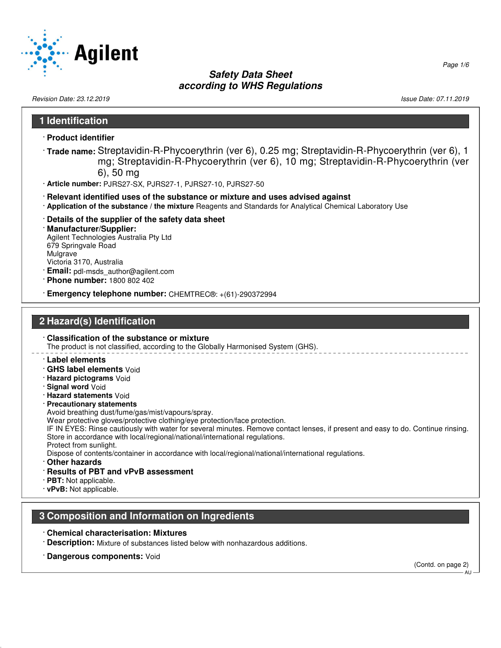

Revision Date: 23.12.2019 **Issue Date: 07.11.2019** Issue Date: 07.11.2019

# **1 Identification** · **Product identifier** · **Trade name:** Streptavidin-R-Phycoerythrin (ver 6), 0.25 mg; Streptavidin-R-Phycoerythrin (ver 6), 1 mg; Streptavidin-R-Phycoerythrin (ver 6), 10 mg; Streptavidin-R-Phycoerythrin (ver 6), 50 mg · **Article number:** PJRS27-SX, PJRS27-1, PJRS27-10, PJRS27-50 · **Relevant identified uses of the substance or mixture and uses advised against** · **Application of the substance / the mixture** Reagents and Standards for Analytical Chemical Laboratory Use · **Details of the supplier of the safety data sheet** · **Manufacturer/Supplier:** Agilent Technologies Australia Pty Ltd 679 Springvale Road Mulgrave Victoria 3170, Australia · **Email:** pdl-msds\_author@agilent.com · **Phone number:** 1800 802 402 · **Emergency telephone number:** CHEMTREC®: +(61)-290372994 **2 Hazard(s) Identification** · **Classification of the substance or mixture** The product is not classified, according to the Globally Harmonised System (GHS). · **Label elements** · **GHS label elements** Void · **Hazard pictograms** Void · **Signal word** Void · **Hazard statements** Void · **Precautionary statements** Avoid breathing dust/fume/gas/mist/vapours/spray. Wear protective gloves/protective clothing/eye protection/face protection. IF IN EYES: Rinse cautiously with water for several minutes. Remove contact lenses, if present and easy to do. Continue rinsing. Store in accordance with local/regional/national/international regulations. Protect from sunlight. Dispose of contents/container in accordance with local/regional/national/international regulations. · **Other hazards** · **Results of PBT and vPvB assessment** · **PBT:** Not applicable. · **vPvB:** Not applicable. **3 Composition and Information on Ingredients** · **Chemical characterisation: Mixtures** · **Description:** Mixture of substances listed below with nonhazardous additions. · **Dangerous components:** Void (Contd. on page 2) AU

Page 1/6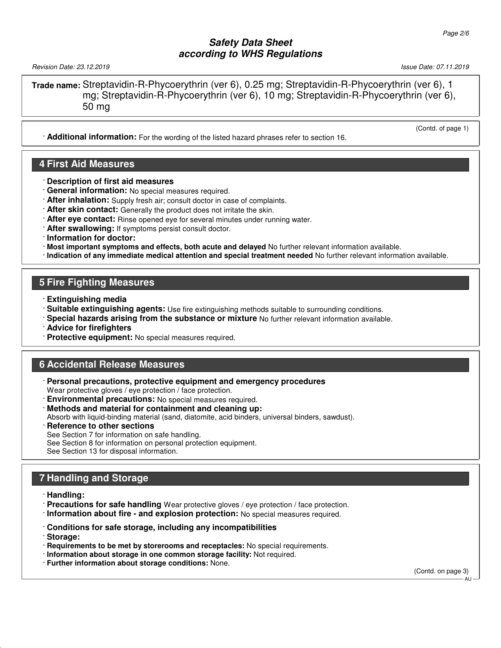Revision Date: 23.12.2019 Issue Date: 07.11.2019

(Contd. of page 1)

**Trade name:** Streptavidin-R-Phycoerythrin (ver 6), 0.25 mg; Streptavidin-R-Phycoerythrin (ver 6), 1 mg; Streptavidin-R-Phycoerythrin (ver 6), 10 mg; Streptavidin-R-Phycoerythrin (ver 6), 50 mg

· **Additional information:** For the wording of the listed hazard phrases refer to section 16.

# **4 First Aid Measures**

- · **Description of first aid measures**
- · **General information:** No special measures required.
- · **After inhalation:** Supply fresh air; consult doctor in case of complaints.
- · **After skin contact:** Generally the product does not irritate the skin.
- · **After eye contact:** Rinse opened eye for several minutes under running water.
- · **After swallowing:** If symptoms persist consult doctor.
- · **Information for doctor:**
- · **Most important symptoms and effects, both acute and delayed** No further relevant information available.
- · **Indication of any immediate medical attention and special treatment needed** No further relevant information available.

# **5 Fire Fighting Measures**

- · **Extinguishing media**
- · **Suitable extinguishing agents:** Use fire extinguishing methods suitable to surrounding conditions.
- · **Special hazards arising from the substance or mixture** No further relevant information available.
- · **Advice for firefighters**
- · **Protective equipment:** No special measures required.

### **6 Accidental Release Measures**

- · **Personal precautions, protective equipment and emergency procedures** Wear protective gloves / eye protection / face protection.
- **Environmental precautions:** No special measures required.
- · **Methods and material for containment and cleaning up:**
- Absorb with liquid-binding material (sand, diatomite, acid binders, universal binders, sawdust).
- **Reference to other sections**
- See Section 7 for information on safe handling.
- See Section 8 for information on personal protection equipment.
- See Section 13 for disposal information.

# **7 Handling and Storage**

- · **Handling:**
- · **Precautions for safe handling** Wear protective gloves / eye protection / face protection.
- · **Information about fire and explosion protection:** No special measures required.
- · **Conditions for safe storage, including any incompatibilities**
- · **Storage:**
- · **Requirements to be met by storerooms and receptacles:** No special requirements.
- · **Information about storage in one common storage facility:** Not required.
- · **Further information about storage conditions:** None.

(Contd. on page 3)

AU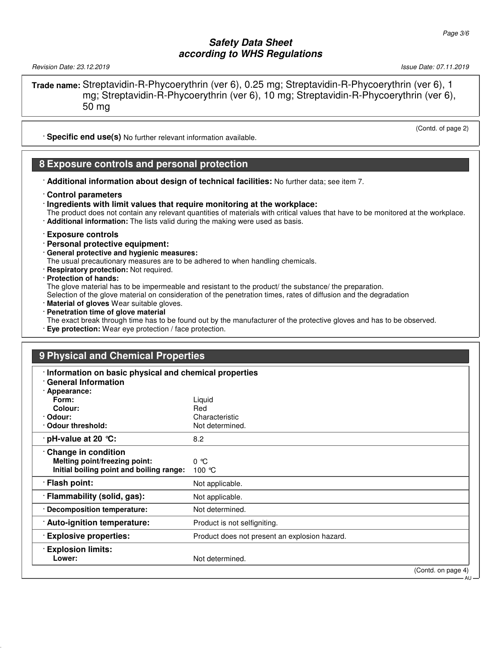Revision Date: 23.12.2019 Issue Date: 07.11.2019

**Trade name:** Streptavidin-R-Phycoerythrin (ver 6), 0.25 mg; Streptavidin-R-Phycoerythrin (ver 6), 1 mg; Streptavidin-R-Phycoerythrin (ver 6), 10 mg; Streptavidin-R-Phycoerythrin (ver 6), 50 mg

· **Specific end use(s)** No further relevant information available.

#### **8 Exposure controls and personal protection**

- · **Additional information about design of technical facilities:** No further data; see item 7.
- · **Control parameters**
- · **Ingredients with limit values that require monitoring at the workplace:**
- The product does not contain any relevant quantities of materials with critical values that have to be monitored at the workplace.
- · **Additional information:** The lists valid during the making were used as basis.
- · **Exposure controls**
- · **Personal protective equipment:**
- · **General protective and hygienic measures:**

The usual precautionary measures are to be adhered to when handling chemicals.

- · **Respiratory protection:** Not required.
- · **Protection of hands:**

The glove material has to be impermeable and resistant to the product/ the substance/ the preparation.

Selection of the glove material on consideration of the penetration times, rates of diffusion and the degradation

- · **Material of gloves** Wear suitable gloves.
- · **Penetration time of glove material**
- The exact break through time has to be found out by the manufacturer of the protective gloves and has to be observed.
- · **Eye protection:** Wear eye protection / face protection.

#### **9 Physical and Chemical Properties**

| · Information on basic physical and chemical properties<br><b>General Information</b> |                                               |                              |
|---------------------------------------------------------------------------------------|-----------------------------------------------|------------------------------|
| · Appearance:                                                                         |                                               |                              |
| Form:                                                                                 | Liquid                                        |                              |
| Colour:                                                                               | Red                                           |                              |
| · Odour:                                                                              | Characteristic                                |                              |
| Odour threshold:                                                                      | Not determined.                               |                              |
| $\cdot$ pH-value at 20 $\degree$ C:                                                   | 8.2                                           |                              |
| Change in condition                                                                   |                                               |                              |
| Melting point/freezing point:                                                         | $0^{\circ}$ $C$                               |                              |
| Initial boiling point and boiling range:                                              | 100 $\degree$ C                               |                              |
| · Flash point:                                                                        | Not applicable.                               |                              |
| · Flammability (solid, gas):                                                          | Not applicable.                               |                              |
| · Decomposition temperature:                                                          | Not determined.                               |                              |
| · Auto-ignition temperature:                                                          | Product is not selfigniting.                  |                              |
| <b>Explosive properties:</b>                                                          | Product does not present an explosion hazard. |                              |
| <b>Explosion limits:</b>                                                              |                                               |                              |
| Lower:                                                                                | Not determined.                               |                              |
|                                                                                       |                                               | (Contd. on page 4)<br>· AU · |

(Contd. of page 2)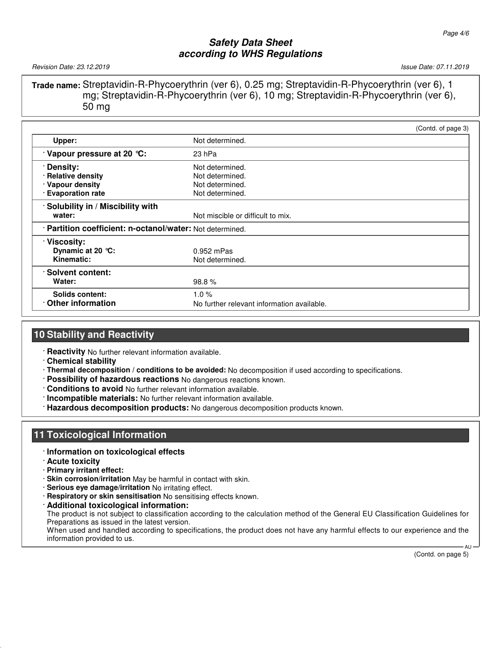Revision Date: 23.12.2019 Issue Date: 07.11.2019

**Trade name:** Streptavidin-R-Phycoerythrin (ver 6), 0.25 mg; Streptavidin-R-Phycoerythrin (ver 6), 1 mg; Streptavidin-R-Phycoerythrin (ver 6), 10 mg; Streptavidin-R-Phycoerythrin (ver 6), 50 mg

|                                                           |                                            | (Contd. of page 3) |  |
|-----------------------------------------------------------|--------------------------------------------|--------------------|--|
| Upper:                                                    | Not determined.                            |                    |  |
| Vapour pressure at 20 °C:                                 | 23 hPa                                     |                    |  |
| Density:                                                  | Not determined.                            |                    |  |
| · Relative density                                        | Not determined.                            |                    |  |
| · Vapour density                                          | Not determined.                            |                    |  |
| · Evaporation rate                                        | Not determined.                            |                    |  |
| · Solubility in / Miscibility with                        |                                            |                    |  |
| water:                                                    | Not miscible or difficult to mix.          |                    |  |
| · Partition coefficient: n-octanol/water: Not determined. |                                            |                    |  |
| · Viscosity:                                              |                                            |                    |  |
| Dynamic at 20 $°C$ :                                      | $0.952$ mPas                               |                    |  |
| Kinematic:                                                | Not determined.                            |                    |  |
| · Solvent content:                                        |                                            |                    |  |
| Water:                                                    | 98.8%                                      |                    |  |
| Solids content:                                           | 1.0%                                       |                    |  |
| Other information                                         | No further relevant information available. |                    |  |

# **10 Stability and Reactivity**

· **Reactivity** No further relevant information available.

- · **Chemical stability**
- · **Thermal decomposition / conditions to be avoided:** No decomposition if used according to specifications.
- · **Possibility of hazardous reactions** No dangerous reactions known.
- · **Conditions to avoid** No further relevant information available.
- · **Incompatible materials:** No further relevant information available.
- · **Hazardous decomposition products:** No dangerous decomposition products known.

### **11 Toxicological Information**

- · **Information on toxicological effects**
- · **Acute toxicity**
- · **Primary irritant effect:**
- · **Skin corrosion/irritation** May be harmful in contact with skin.
- · **Serious eye damage/irritation** No irritating effect.
- · **Respiratory or skin sensitisation** No sensitising effects known.
- · **Additional toxicological information:**

The product is not subject to classification according to the calculation method of the General EU Classification Guidelines for Preparations as issued in the latest version.

When used and handled according to specifications, the product does not have any harmful effects to our experience and the information provided to us.

(Contd. on page 5)

AU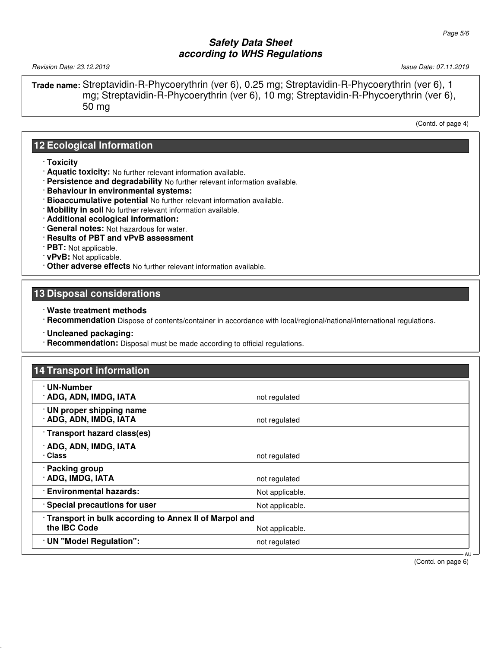Revision Date: 23.12.2019 Issue Date: 07.11.2019

**Trade name:** Streptavidin-R-Phycoerythrin (ver 6), 0.25 mg; Streptavidin-R-Phycoerythrin (ver 6), 1 mg; Streptavidin-R-Phycoerythrin (ver 6), 10 mg; Streptavidin-R-Phycoerythrin (ver 6), 50 mg

(Contd. of page 4)

### **12 Ecological Information**

- · **Toxicity**
- · **Aquatic toxicity:** No further relevant information available.
- · **Persistence and degradability** No further relevant information available.
- · **Behaviour in environmental systems:**
- · **Bioaccumulative potential** No further relevant information available.
- · **Mobility in soil** No further relevant information available.
- · **Additional ecological information:**
- · **General notes:** Not hazardous for water.
- · **Results of PBT and vPvB assessment**
- · **PBT:** Not applicable.
- · **vPvB:** Not applicable.
- · **Other adverse effects** No further relevant information available.

#### **13 Disposal considerations**

- · **Waste treatment methods**
- · **Recommendation** Dispose of contents/container in accordance with local/regional/national/international regulations.
- · **Uncleaned packaging:**
- · **Recommendation:** Disposal must be made according to official regulations.

### **14 Transport information**

| · UN-Number<br>· ADG, ADN, IMDG, IATA                                                    | not regulated   |        |
|------------------------------------------------------------------------------------------|-----------------|--------|
| · UN proper shipping name<br>· ADG, ADN, IMDG, IATA                                      | not regulated   |        |
| · Transport hazard class(es)                                                             |                 |        |
| · ADG, ADN, IMDG, IATA<br>· Class                                                        | not regulated   |        |
| · Packing group<br>· ADG, IMDG, IATA                                                     | not regulated   |        |
| <b>Environmental hazards:</b>                                                            | Not applicable. |        |
| · Special precautions for user                                                           | Not applicable. |        |
| Transport in bulk according to Annex II of Marpol and<br>the IBC Code<br>Not applicable. |                 |        |
| · UN "Model Regulation":                                                                 | not regulated   |        |
|                                                                                          |                 | - AU - |

(Contd. on page 6)